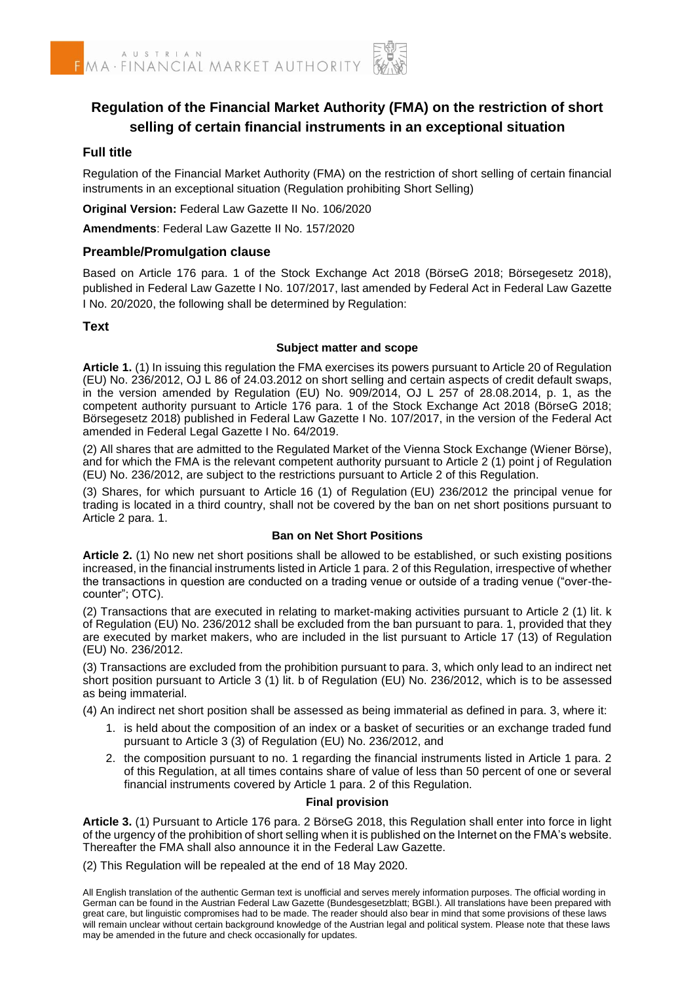

# **Regulation of the Financial Market Authority (FMA) on the restriction of short selling of certain financial instruments in an exceptional situation**

## **Full title**

Regulation of the Financial Market Authority (FMA) on the restriction of short selling of certain financial instruments in an exceptional situation (Regulation prohibiting Short Selling)

**Original Version:** Federal Law Gazette II No. 106/2020

**Amendments**: Federal Law Gazette II No. 157/2020

#### **Preamble/Promulgation clause**

Based on Article 176 para. 1 of the Stock Exchange Act 2018 (BörseG 2018; Börsegesetz 2018), published in Federal Law Gazette I No. 107/2017, last amended by Federal Act in Federal Law Gazette I No. 20/2020, the following shall be determined by Regulation:

## **Text**

#### **Subject matter and scope**

**Article 1.** (1) In issuing this regulation the FMA exercises its powers pursuant to Article 20 of Regulation (EU) No. 236/2012, OJ L 86 of 24.03.2012 on short selling and certain aspects of credit default swaps, in the version amended by Regulation (EU) No. 909/2014, OJ L 257 of 28.08.2014, p. 1, as the competent authority pursuant to Article 176 para. 1 of the Stock Exchange Act 2018 (BörseG 2018; Börsegesetz 2018) published in Federal Law Gazette I No. 107/2017, in the version of the Federal Act amended in Federal Legal Gazette I No. 64/2019.

(2) All shares that are admitted to the Regulated Market of the Vienna Stock Exchange (Wiener Börse), and for which the FMA is the relevant competent authority pursuant to Article 2 (1) point j of Regulation (EU) No. 236/2012, are subject to the restrictions pursuant to Article 2 of this Regulation.

(3) Shares, for which pursuant to Article 16 (1) of Regulation (EU) 236/2012 the principal venue for trading is located in a third country, shall not be covered by the ban on net short positions pursuant to Article 2 para. 1.

#### **Ban on Net Short Positions**

**Article 2.** (1) No new net short positions shall be allowed to be established, or such existing positions increased, in the financial instruments listed in Article 1 para. 2 of this Regulation, irrespective of whether the transactions in question are conducted on a trading venue or outside of a trading venue ("over-thecounter"; OTC).

(2) Transactions that are executed in relating to market-making activities pursuant to Article 2 (1) lit. k of Regulation (EU) No. 236/2012 shall be excluded from the ban pursuant to para. 1, provided that they are executed by market makers, who are included in the list pursuant to Article 17 (13) of Regulation (EU) No. 236/2012.

(3) Transactions are excluded from the prohibition pursuant to para. 3, which only lead to an indirect net short position pursuant to Article 3 (1) lit. b of Regulation (EU) No. 236/2012, which is to be assessed as being immaterial.

(4) An indirect net short position shall be assessed as being immaterial as defined in para. 3, where it:

- 1. is held about the composition of an index or a basket of securities or an exchange traded fund pursuant to Article 3 (3) of Regulation (EU) No. 236/2012, and
- 2. the composition pursuant to no. 1 regarding the financial instruments listed in Article 1 para. 2 of this Regulation, at all times contains share of value of less than 50 percent of one or several financial instruments covered by Article 1 para. 2 of this Regulation.

## **Final provision**

**Article 3.** (1) Pursuant to Article 176 para. 2 BörseG 2018, this Regulation shall enter into force in light of the urgency of the prohibition of short selling when it is published on the Internet on the FMA's website. Thereafter the FMA shall also announce it in the Federal Law Gazette.

(2) This Regulation will be repealed at the end of 18 May 2020.

All English translation of the authentic German text is unofficial and serves merely information purposes. The official wording in German can be found in the Austrian Federal Law Gazette (Bundesgesetzblatt; BGBI.). All translations have been prepared with great care, but linguistic compromises had to be made. The reader should also bear in mind that some provisions of these laws will remain unclear without certain background knowledge of the Austrian legal and political system. Please note that these laws may be amended in the future and check occasionally for updates.